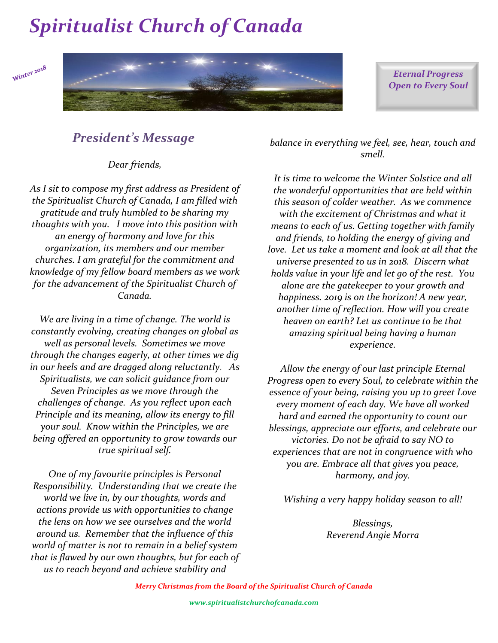Winter 2018



*Eternal Progress Open to Every Soul*

### *President's Message*

*Dear friends,*

*As I sit to compose my first address as President of the Spiritualist Church of Canada, I am filled with gratitude and truly humbled to be sharing my thoughts with you. I move into this position with an energy of harmony and love for this organization, its members and our member churches. I am grateful for the commitment and knowledge of my fellow board members as we work for the advancement of the Spiritualist Church of Canada.*

*We are living in a time of change. The world is constantly evolving, creating changes on global as well as personal levels. Sometimes we move through the changes eagerly, at other times we dig in our heels and are dragged along reluctantly. As Spiritualists, we can solicit guidance from our Seven Principles as we move through the challenges of change. As you reflect upon each Principle and its meaning, allow its energy to fill your soul. Know within the Principles, we are being offered an opportunity to grow towards our true spiritual self.*

*One of my favourite principles is Personal Responsibility. Understanding that we create the world we live in, by our thoughts, words and actions provide us with opportunities to change the lens on how we see ourselves and the world around us. Remember that the influence of this world of matter is not to remain in a belief system that is flawed by our own thoughts, but for each of us to reach beyond and achieve stability and* 

*balance in everything we feel, see, hear, touch and smell.*

*It is time to welcome the Winter Solstice and all the wonderful opportunities that are held within this season of colder weather. As we commence with the excitement of Christmas and what it means to each of us. Getting together with family and friends, to holding the energy of giving and love. Let us take a moment and look at all that the universe presented to us in 2018. Discern what holds value in your life and let go of the rest. You alone are the gatekeeper to your growth and happiness. 2019 is on the horizon! A new year, another time of reflection. How will you create heaven on earth? Let us continue to be that amazing spiritual being having a human experience.*

*Allow the energy of our last principle Eternal Progress open to every Soul, to celebrate within the essence of your being, raising you up to greet Love every moment of each day. We have all worked hard and earned the opportunity to count our blessings, appreciate our efforts, and celebrate our victories. Do not be afraid to say NO to experiences that are not in congruence with who you are. Embrace all that gives you peace, harmony, and joy.*

*Wishing a very happy holiday season to all!*

*Blessings, Reverend Angie Morra*

*Merry Christmas from the Board of the Spiritualist Church of Canada*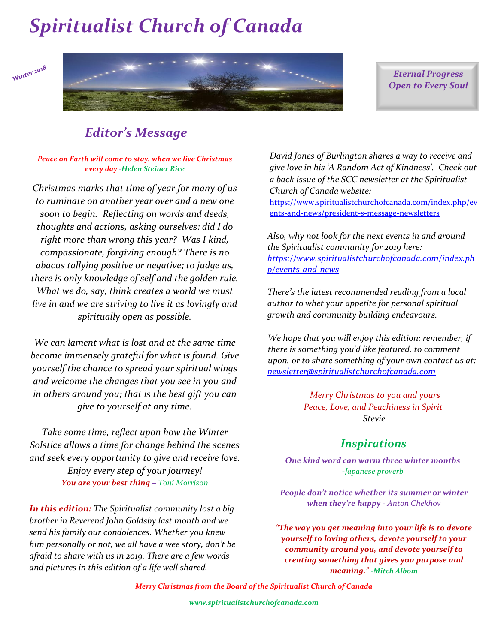



*Eternal Progress Open to Every Soul*

### *Editor's Message*

*Peace on Earth will come to stay, when we live Christmas every day -Helen Steiner Rice*

*Christmas marks that time of year for many of us to ruminate on another year over and a new one soon to begin. Reflecting on words and deeds, thoughts and actions, asking ourselves: did I do right more than wrong this year? Was I kind, compassionate, forgiving enough? There is no abacus tallying positive or negative; to judge us, there is only knowledge of self and the golden rule. What we do, say, think creates a world we must live in and we are striving to live it as lovingly and spiritually open as possible.* 

*We can lament what is lost and at the same time become immensely grateful for what is found. Give yourself the chance to spread your spiritual wings and welcome the changes that you see in you and in others around you; that is the best gift you can give to yourself at any time.* 

*Take some time, reflect upon how the Winter Solstice allows a time for change behind the scenes and seek every opportunity to give and receive love. Enjoy every step of your journey! You are your best thing – Toni Morrison*

*In this edition: The Spiritualist community lost a big brother in Reverend John Goldsby last month and we send his family our condolences. Whether you knew him personally or not, we all have a wee story, don't be afraid to share with us in 2019. There are a few words and pictures in this edition of a life well shared.*

*David Jones of Burlington shares a way to receive and give love in his 'A Random Act of Kindness'. Check out a back issue of the SCC newsletter at the Spiritualist Church of Canada website:* 

[https://www.spiritualistchurchofcanada.com/index.php/ev](https://www.spiritualistchurchofcanada.com/index.php/events-and-news/president-s-message-newsletters) [ents-and-news/president-s-message-newsletters](https://www.spiritualistchurchofcanada.com/index.php/events-and-news/president-s-message-newsletters)

*Also, why not look for the next events in and around the Spiritualist community for 2019 here: [https://www.spiritualistchurchofcanada.com/index.ph](https://www.spiritualistchurchofcanada.com/index.php/events-and-news/) [p/events-and-news](https://www.spiritualistchurchofcanada.com/index.php/events-and-news/)*

*There's the latest recommended reading from a local author to whet your appetite for personal spiritual growth and community building endeavours.* 

*We hope that you will enjoy this edition; remember, if there is something you'd like featured, to comment upon, or to share something of your own contact us at: [newsletter@spiritualistchurchofcanada.com](mailto:newsletter@spiritualistchurchofcanada.com)*

> *Merry Christmas to you and yours Peace, Love, and Peachiness in Spirit Stevie*

### *Inspirations*

*One kind word can warm three winter months -Japanese proverb*

*People don't notice whether its summer or winter when they're happy - Anton Chekhov*

*"The way you get meaning into your life is to devote yourself to loving others, devote yourself to your community around you, and devote yourself to creating something that gives you purpose and meaning." -Mitch Albom*

*Merry Christmas from the Board of the Spiritualist Church of Canada*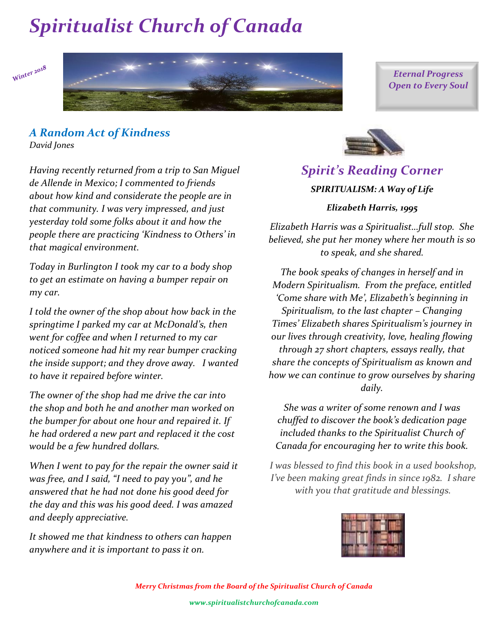Winter 2018



*Eternal Progress Open to Every Soul*

#### *A Random Act of Kindness David Jones*

*Having recently returned from a trip to San Miguel de Allende in Mexico; I commented to friends about how kind and considerate the people are in that community. I was very impressed, and just yesterday told some folks about it and how the people there are practicing 'Kindness to Others' in that magical environment.*

*Today in Burlington I took my car to a body shop to get an estimate on having a bumper repair on my car.*

*I told the owner of the shop about how back in the springtime I parked my car at McDonald's, then went for coffee and when I returned to my car noticed someone had hit my rear bumper cracking the inside support; and they drove away. I wanted to have it repaired before winter.*

*The owner of the shop had me drive the car into the shop and both he and another man worked on the bumper for about one hour and repaired it. If he had ordered a new part and replaced it the cost would be a few hundred dollars.*

*When I went to pay for the repair the owner said it was free, and I said, "I need to pay you", and he answered that he had not done his good deed for the day and this was his good deed. I was amazed and deeply appreciative.*

*It showed me that kindness to others can happen anywhere and it is important to pass it on.*



### *Spirit's Reading Corner SPIRITUALISM: A Way of Life Elizabeth Harris, 1995*

*Elizabeth Harris was a Spiritualist…full stop. She believed, she put her money where her mouth is so to speak, and she shared.*

*The book speaks of changes in herself and in Modern Spiritualism. From the preface, entitled 'Come share with Me', Elizabeth's beginning in Spiritualism, to the last chapter – Changing Times' Elizabeth shares Spiritualism's journey in our lives through creativity, love, healing flowing through 27 short chapters, essays really, that share the concepts of Spiritualism as known and how we can continue to grow ourselves by sharing daily.*

*She was a writer of some renown and I was chuffed to discover the book's dedication page included thanks to the Spiritualist Church of Canada for encouraging her to write this book.* 

*I was blessed to find this book in a used bookshop, I've been making great finds in since 1982. I share with you that gratitude and blessings.* 

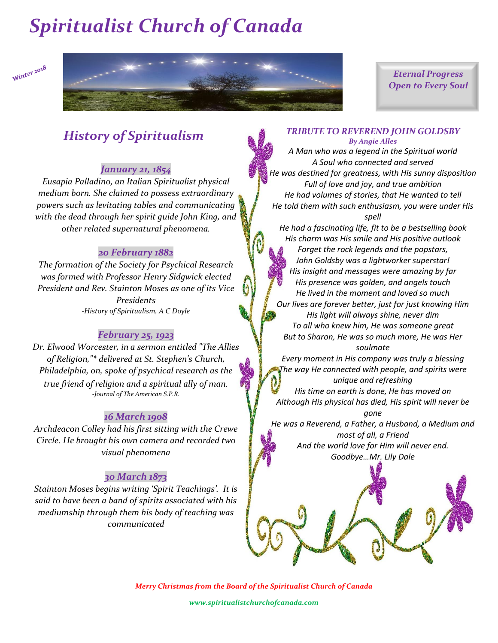

*Eternal Progress Open to Every Soul*

### *History of Spiritualism*

#### *January 21, 1854*

*Eusapia Palladino, an Italian Spiritualist physical medium born. She claimed to possess extraordinary powers such as levitating tables and communicating with the dead through her spirit guide John King, and other related supernatural phenomena.*

#### *20 February 1882*

*The formation of the Society for Psychical Research was formed with Professor Henry Sidgwick elected President and Rev. Stainton Moses as one of its Vice Presidents -History of Spiritualism, A C Doyle*

#### *February 25, 1923*

*Dr. Elwood Worcester, in a sermon entitled "The Allies of Religion,"\* delivered at St. Stephen's Church, Philadelphia, on, spoke of psychical research as the true friend of religion and a spiritual ally of man. -Journal of The American S.P.R.*

#### *16 March 1908*

*Archdeacon Colley had his first sitting with the Crewe Circle. He brought his own camera and recorded two visual phenomena*

#### *30 March 1873*

*Stainton Moses begins writing 'Spirit Teachings'. It is said to have been a band of spirits associated with his mediumship through them his body of teaching was communicated*

#### *TRIBUTE TO REVEREND JOHN GOLDSBY By Angie Alles*

*A Man who was a legend in the Spiritual world A Soul who connected and served He was destined for greatness, with His sunny disposition Full of love and joy, and true ambition He had volumes of stories, that He wanted to tell He told them with such enthusiasm, you were under His spell*

*He had a fascinating life, fit to be a bestselling book His charm was His smile and His positive outlook*

*Forget the rock legends and the popstars, John Goldsby was a lightworker superstar! His insight and messages were amazing by far His presence was golden, and angels touch He lived in the moment and loved so much Our lives are forever better, just for just knowing Him His light will always shine, never dim To all who knew him, He was someone great But to Sharon, He was so much more, He was Her soulmate*

*Every moment in His company was truly a blessing The way He connected with people, and spirits were unique and refreshing*

*His time on earth is done, He has moved on Although His physical has died, His spirit will never be gone*

*He was a Reverend, a Father, a Husband, a Medium and most of all, a Friend And the world love for Him will never end. Goodbye…Mr. Lily Dale*



*Merry Christmas from the Board of the Spiritualist Church of Canada* 

*www.spiritualistchurchofcanada.com*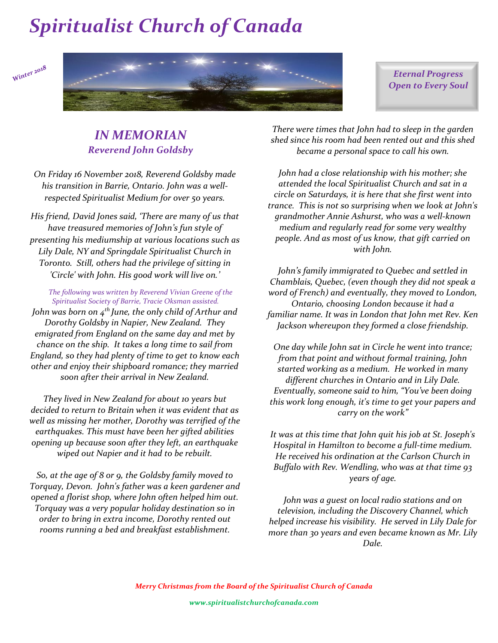Winter 2018



*Eternal Progress Open to Every Soul*

### *IN MEMORIAN Reverend John Goldsby*

*On Friday 16 November 2018, Reverend Goldsby made his transition in Barrie, Ontario. John was a wellrespected Spiritualist Medium for over 50 years.*

*His friend, David Jones said, 'There are many of us that have treasured memories of John's fun style of presenting his mediumship at various locations such as Lily Dale, NY and Springdale Spiritualist Church in Toronto. Still, others had the privilege of sitting in 'Circle' with John. His good work will live on.'*

*The following was written by Reverend Vivian Greene of the Spiritualist Society of Barrie, Tracie Oksman assisted.*

*John was born on 4th June, the only child of Arthur and Dorothy Goldsby in Napier, New Zealand. They emigrated from England on the same day and met by chance on the ship. It takes a long time to sail from England, so they had plenty of time to get to know each other and enjoy their shipboard romance; they married soon after their arrival in New Zealand.*

*They lived in New Zealand for about 10 years but decided to return to Britain when it was evident that as well as missing her mother, Dorothy was terrified of the earthquakes. This must have been her gifted abilities opening up because soon after they left, an earthquake wiped out Napier and it had to be rebuilt.*

*So, at the age of 8 or 9, the Goldsby family moved to Torquay, Devon. John's father was a keen gardener and opened a florist shop, where John often helped him out. Torquay was a very popular holiday destination so in order to bring in extra income, Dorothy rented out rooms running a bed and breakfast establishment.* 

*There were times that John had to sleep in the garden shed since his room had been rented out and this shed became a personal space to call his own.*

*John had a close relationship with his mother; she attended the local Spiritualist Church and sat in a circle on Saturdays, it is here that she first went into trance. This is not so surprising when we look at John's grandmother Annie Ashurst, who was a well-known medium and regularly read for some very wealthy people. And as most of us know, that gift carried on with John.*

*John's family immigrated to Quebec and settled in Chamblais, Quebec, (even though they did not speak a word of French) and eventually, they moved to London, Ontario, choosing London because it had a familiar name. It was in London that John met Rev. Ken Jackson whereupon they formed a close friendship.*

*One day while John sat in Circle he went into trance; from that point and without formal training, John started working as a medium. He worked in many different churches in Ontario and in Lily Dale. Eventually, someone said to him, "You've been doing this work long enough, it's time to get your papers and carry on the work"*

*It was at this time that John quit his job at St. Joseph's Hospital in Hamilton to become a full-time medium. He received his ordination at the Carlson Church in Buffalo with Rev. Wendling, who was at that time 93 years of age.*

*John was a guest on local radio stations and on television, including the Discovery Channel, which helped increase his visibility. He served in Lily Dale for more than 30 years and even became known as Mr. Lily Dale.*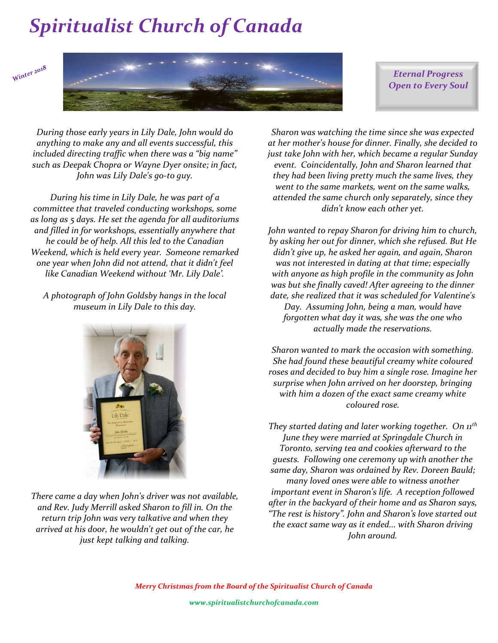



*Eternal Progress Open to Every Soul*

*During those early years in Lily Dale, John would do anything to make any and all events successful, this included directing traffic when there was a "big name" such as Deepak Chopra or Wayne Dyer onsite; in fact, John was Lily Dale's go-to guy.*

*During his time in Lily Dale, he was part of a committee that traveled conducting workshops, some as long as 5 days. He set the agenda for all auditoriums and filled in for workshops, essentially anywhere that he could be of help. All this led to the Canadian Weekend, which is held every year. Someone remarked one year when John did not attend, that it didn't feel like Canadian Weekend without 'Mr. Lily Dale'.* 

*A photograph of John Goldsby hangs in the local museum in Lily Dale to this day.*



*There came a day when John's driver was not available, and Rev. Judy Merrill asked Sharon to fill in. On the return trip John was very talkative and when they arrived at his door, he wouldn't get out of the car, he just kept talking and talking.* 

*Sharon was watching the time since she was expected at her mother's house for dinner. Finally, she decided to just take John with her, which became a regular Sunday event. Coincidentally, John and Sharon learned that they had been living pretty much the same lives, they went to the same markets, went on the same walks, attended the same church only separately, since they didn't know each other yet.*

*John wanted to repay Sharon for driving him to church, by asking her out for dinner, which she refused. But He didn't give up, he asked her again, and again, Sharon was not interested in dating at that time; especially with anyone as high profile in the community as John was but she finally caved! After agreeing to the dinner date, she realized that it was scheduled for Valentine's Day. Assuming John, being a man, would have forgotten what day it was, she was the one who actually made the reservations.*

*Sharon wanted to mark the occasion with something. She had found these beautiful creamy white coloured roses and decided to buy him a single rose. Imagine her surprise when John arrived on her doorstep, bringing with him a dozen of the exact same creamy white coloured rose.* 

*They started dating and later working together. On 11th June they were married at Springdale Church in Toronto, serving tea and cookies afterward to the guests. Following one ceremony up with another the same day, Sharon was ordained by Rev. Doreen Bauld; many loved ones were able to witness another important event in Sharon's life. A reception followed after in the backyard of their home and as Sharon says, "The rest is history". John and Sharon's love started out the exact same way as it ended... with Sharon driving John around.*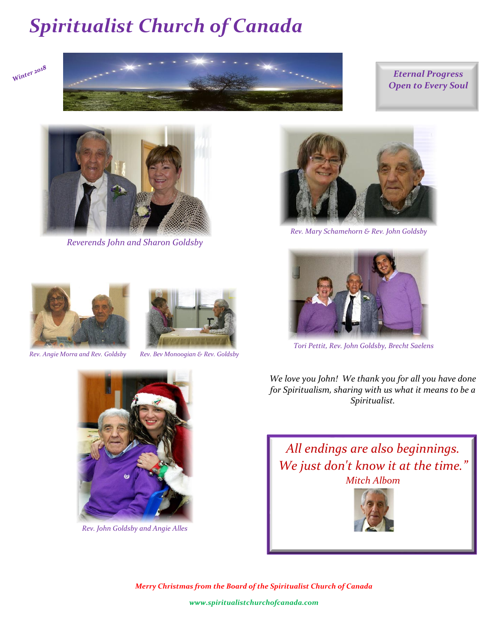



#### *Eternal Progress Open to Every Soul*



*Reverends John and Sharon Goldsby*



*Rev. Angie Morra and Rev. Goldsby Rev. Bev Monoogian & Rev. Goldsby*



*Rev. John Goldsby and Angie Alles*



 *Rev. Mary Schamehorn & Rev. John Goldsby*



 *Tori Pettit, Rev. John Goldsby, Brecht Saelens*

*We love you John! We thank you for all you have done for Spiritualism, sharing with us what it means to be a Spiritualist.*

*All endings are also beginnings. We just don't know it at the time." Mitch Albom*